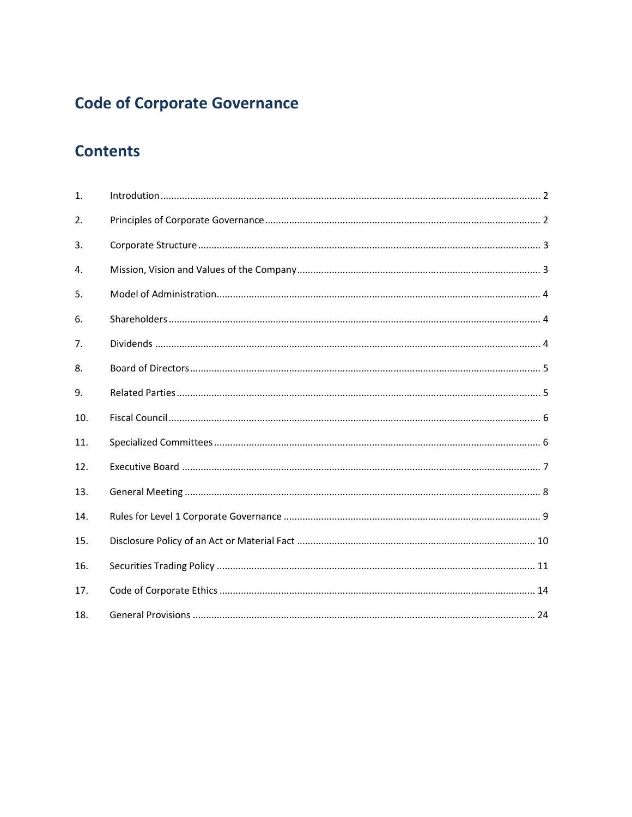# **Code of Corporate Governance**

# **Contents**

| 1.               |  |
|------------------|--|
| 2.               |  |
| 3.               |  |
| $\overline{4}$ . |  |
| 5.               |  |
| 6.               |  |
| 7.               |  |
| 8.               |  |
| 9.               |  |
| 10.              |  |
| 11.              |  |
| 12.              |  |
| 13.              |  |
| 14.              |  |
| 15.              |  |
| 16.              |  |
| 17.              |  |
| 18.              |  |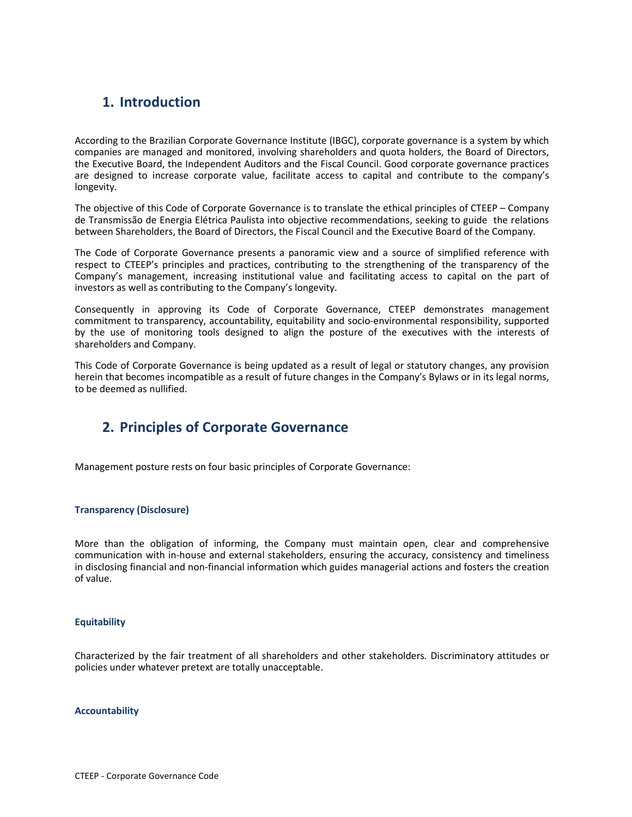# 1. Introduction

According to the Brazilian Corporate Governance Institute (IBGC), corporate governance is a system by which companies are managed and monitored, involving shareholders and quota holders, the Board of Directors, the Executive Board, the Independent Auditors and the Fiscal Council. Good corporate governance practices are designed to increase corporate value, facilitate access to capital and contribute to the company's longevity.

The objective of this Code of Corporate Governance is to translate the ethical principles of CTEEP – Company de Transmissão de Energia Elétrica Paulista into objective recommendations, seeking to guide the relations between Shareholders, the Board of Directors, the Fiscal Council and the Executive Board of the Company.

The Code of Corporate Governance presents a panoramic view and a source of simplified reference with respect to CTEEP's principles and practices, contributing to the strengthening of the transparency of the Company's management, increasing institutional value and facilitating access to capital on the part of investors as well as contributing to the Company's longevity.

Consequently in approving its Code of Corporate Governance, CTEEP demonstrates management commitment to transparency, accountability, equitability and socio-environmental responsibility, supported by the use of monitoring tools designed to align the posture of the executives with the interests of shareholders and Company.

This Code of Corporate Governance is being updated as a result of legal or statutory changes, any provision herein that becomes incompatible as a result of future changes in the Company's Bylaws or in its legal norms, to be deemed as nullified.

# 2. Principles of Corporate Governance

Management posture rests on four basic principles of Corporate Governance:

# Transparency (Disclosure)

More than the obligation of informing, the Company must maintain open, clear and comprehensive communication with in-house and external stakeholders, ensuring the accuracy, consistency and timeliness in disclosing financial and non-financial information which guides managerial actions and fosters the creation of value.

#### Equitability

Characterized by the fair treatment of all shareholders and other stakeholders. Discriminatory attitudes or policies under whatever pretext are totally unacceptable.

#### Accountability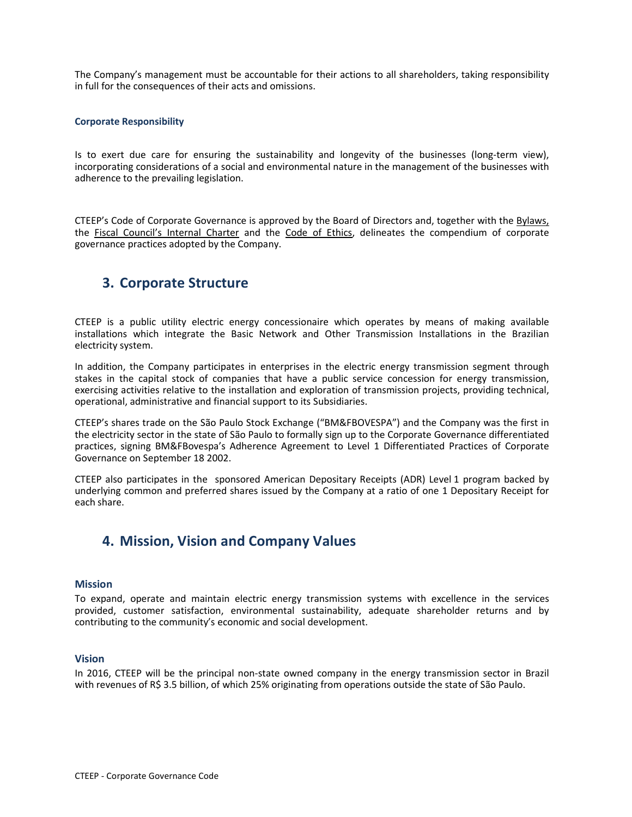The Company's management must be accountable for their actions to all shareholders, taking responsibility in full for the consequences of their acts and omissions.

#### Corporate Responsibility

Is to exert due care for ensuring the sustainability and longevity of the businesses (long-term view), incorporating considerations of a social and environmental nature in the management of the businesses with adherence to the prevailing legislation.

CTEEP's Code of Corporate Governance is approved by the Board of Directors and, together with the Bylaws, the Fiscal Council's Internal Charter and the Code of Ethics, delineates the compendium of corporate governance practices adopted by the Company.

# 3. Corporate Structure

CTEEP is a public utility electric energy concessionaire which operates by means of making available installations which integrate the Basic Network and Other Transmission Installations in the Brazilian electricity system.

In addition, the Company participates in enterprises in the electric energy transmission segment through stakes in the capital stock of companies that have a public service concession for energy transmission, exercising activities relative to the installation and exploration of transmission projects, providing technical, operational, administrative and financial support to its Subsidiaries.

CTEEP's shares trade on the São Paulo Stock Exchange ("BM&FBOVESPA") and the Company was the first in the electricity sector in the state of São Paulo to formally sign up to the Corporate Governance differentiated practices, signing BM&FBovespa's Adherence Agreement to Level 1 Differentiated Practices of Corporate Governance on September 18 2002.

CTEEP also participates in the sponsored American Depositary Receipts (ADR) Level 1 program backed by underlying common and preferred shares issued by the Company at a ratio of one 1 Depositary Receipt for each share.

# 4. Mission, Vision and Company Values

#### Mission

To expand, operate and maintain electric energy transmission systems with excellence in the services provided, customer satisfaction, environmental sustainability, adequate shareholder returns and by contributing to the community's economic and social development.

# Vision

In 2016, CTEEP will be the principal non-state owned company in the energy transmission sector in Brazil with revenues of R\$ 3.5 billion, of which 25% originating from operations outside the state of São Paulo.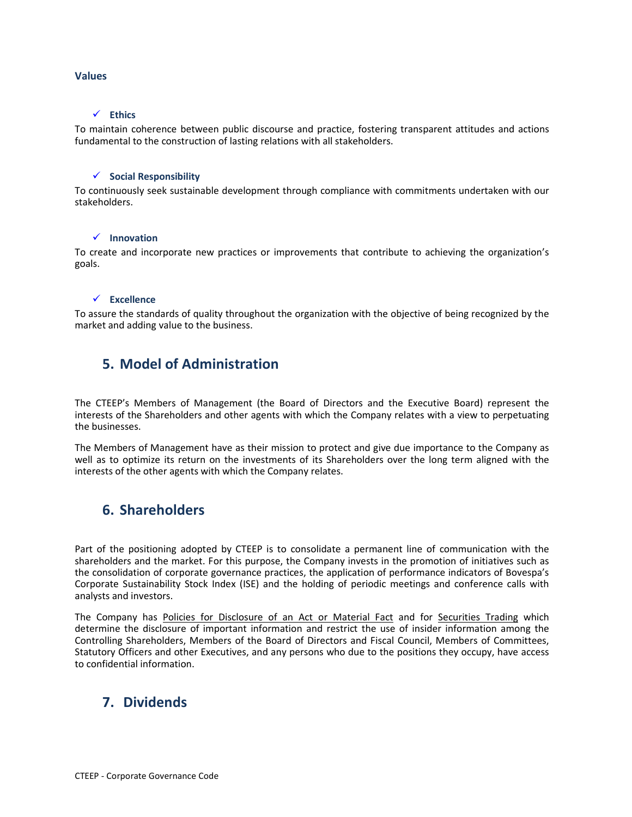### Values

# $\checkmark$  Ethics

To maintain coherence between public discourse and practice, fostering transparent attitudes and actions fundamental to the construction of lasting relations with all stakeholders.

### $\checkmark$  Social Responsibility

To continuously seek sustainable development through compliance with commitments undertaken with our stakeholders.

#### $\checkmark$  Innovation

To create and incorporate new practices or improvements that contribute to achieving the organization's goals.

#### $\checkmark$  Excellence

To assure the standards of quality throughout the organization with the objective of being recognized by the market and adding value to the business.

# 5. Model of Administration

The CTEEP's Members of Management (the Board of Directors and the Executive Board) represent the interests of the Shareholders and other agents with which the Company relates with a view to perpetuating the businesses.

The Members of Management have as their mission to protect and give due importance to the Company as well as to optimize its return on the investments of its Shareholders over the long term aligned with the interests of the other agents with which the Company relates.

# 6. Shareholders

Part of the positioning adopted by CTEEP is to consolidate a permanent line of communication with the shareholders and the market. For this purpose, the Company invests in the promotion of initiatives such as the consolidation of corporate governance practices, the application of performance indicators of Bovespa's Corporate Sustainability Stock Index (ISE) and the holding of periodic meetings and conference calls with analysts and investors.

The Company has Policies for Disclosure of an Act or Material Fact and for Securities Trading which determine the disclosure of important information and restrict the use of insider information among the Controlling Shareholders, Members of the Board of Directors and Fiscal Council, Members of Committees, Statutory Officers and other Executives, and any persons who due to the positions they occupy, have access to confidential information.

# 7. Dividends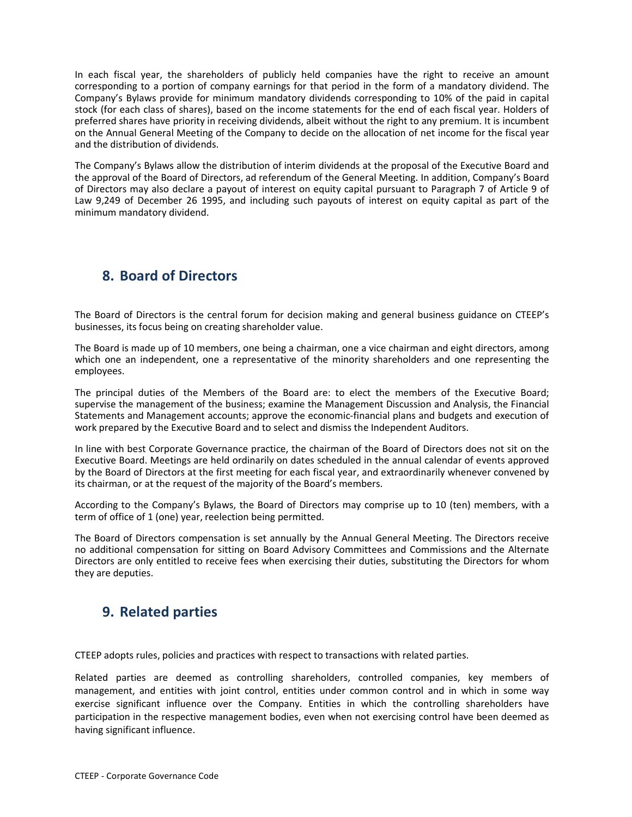In each fiscal year, the shareholders of publicly held companies have the right to receive an amount corresponding to a portion of company earnings for that period in the form of a mandatory dividend. The Company's Bylaws provide for minimum mandatory dividends corresponding to 10% of the paid in capital stock (for each class of shares), based on the income statements for the end of each fiscal year. Holders of preferred shares have priority in receiving dividends, albeit without the right to any premium. It is incumbent on the Annual General Meeting of the Company to decide on the allocation of net income for the fiscal year and the distribution of dividends.

The Company's Bylaws allow the distribution of interim dividends at the proposal of the Executive Board and the approval of the Board of Directors, ad referendum of the General Meeting. In addition, Company's Board of Directors may also declare a payout of interest on equity capital pursuant to Paragraph 7 of Article 9 of Law 9,249 of December 26 1995, and including such payouts of interest on equity capital as part of the minimum mandatory dividend.

# 8. Board of Directors

The Board of Directors is the central forum for decision making and general business guidance on CTEEP's businesses, its focus being on creating shareholder value.

The Board is made up of 10 members, one being a chairman, one a vice chairman and eight directors, among which one an independent, one a representative of the minority shareholders and one representing the employees.

The principal duties of the Members of the Board are: to elect the members of the Executive Board; supervise the management of the business; examine the Management Discussion and Analysis, the Financial Statements and Management accounts; approve the economic-financial plans and budgets and execution of work prepared by the Executive Board and to select and dismiss the Independent Auditors.

In line with best Corporate Governance practice, the chairman of the Board of Directors does not sit on the Executive Board. Meetings are held ordinarily on dates scheduled in the annual calendar of events approved by the Board of Directors at the first meeting for each fiscal year, and extraordinarily whenever convened by its chairman, or at the request of the majority of the Board's members.

According to the Company's Bylaws, the Board of Directors may comprise up to 10 (ten) members, with a term of office of 1 (one) year, reelection being permitted.

The Board of Directors compensation is set annually by the Annual General Meeting. The Directors receive no additional compensation for sitting on Board Advisory Committees and Commissions and the Alternate Directors are only entitled to receive fees when exercising their duties, substituting the Directors for whom they are deputies.

# 9. Related parties

CTEEP adopts rules, policies and practices with respect to transactions with related parties.

Related parties are deemed as controlling shareholders, controlled companies, key members of management, and entities with joint control, entities under common control and in which in some way exercise significant influence over the Company. Entities in which the controlling shareholders have participation in the respective management bodies, even when not exercising control have been deemed as having significant influence.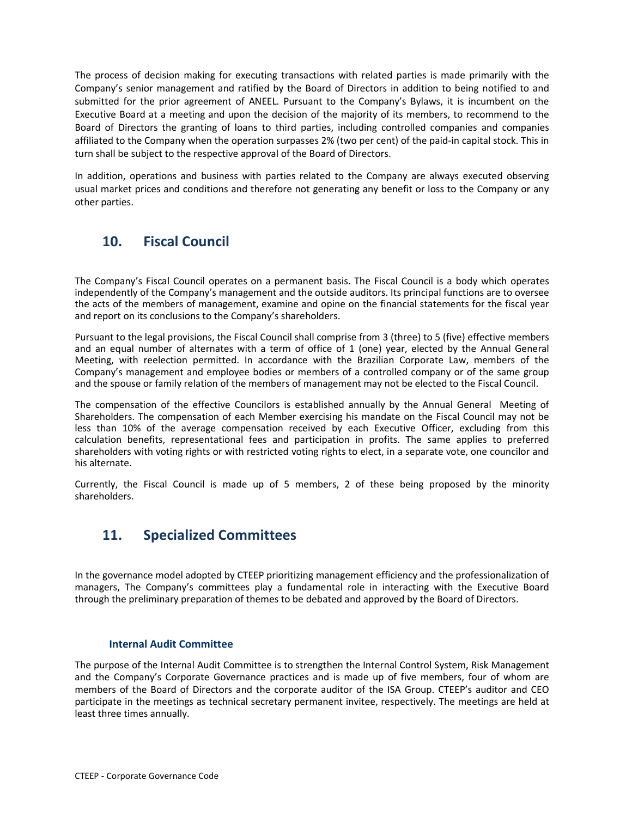The process of decision making for executing transactions with related parties is made primarily with the Company's senior management and ratified by the Board of Directors in addition to being notified to and submitted for the prior agreement of ANEEL. Pursuant to the Company's Bylaws, it is incumbent on the Executive Board at a meeting and upon the decision of the majority of its members, to recommend to the Board of Directors the granting of loans to third parties, including controlled companies and companies affiliated to the Company when the operation surpasses 2% (two per cent) of the paid-in capital stock. This in turn shall be subject to the respective approval of the Board of Directors.

In addition, operations and business with parties related to the Company are always executed observing usual market prices and conditions and therefore not generating any benefit or loss to the Company or any other parties.

# 10. Fiscal Council

The Company's Fiscal Council operates on a permanent basis. The Fiscal Council is a body which operates independently of the Company's management and the outside auditors. Its principal functions are to oversee the acts of the members of management, examine and opine on the financial statements for the fiscal year and report on its conclusions to the Company's shareholders.

Pursuant to the legal provisions, the Fiscal Council shall comprise from 3 (three) to 5 (five) effective members and an equal number of alternates with a term of office of 1 (one) year, elected by the Annual General Meeting, with reelection permitted. In accordance with the Brazilian Corporate Law, members of the Company's management and employee bodies or members of a controlled company or of the same group and the spouse or family relation of the members of management may not be elected to the Fiscal Council.

The compensation of the effective Councilors is established annually by the Annual General Meeting of Shareholders. The compensation of each Member exercising his mandate on the Fiscal Council may not be less than 10% of the average compensation received by each Executive Officer, excluding from this calculation benefits, representational fees and participation in profits. The same applies to preferred shareholders with voting rights or with restricted voting rights to elect, in a separate vote, one councilor and his alternate.

Currently, the Fiscal Council is made up of 5 members, 2 of these being proposed by the minority shareholders.

# 11. Specialized Committees

In the governance model adopted by CTEEP prioritizing management efficiency and the professionalization of managers, The Company's committees play a fundamental role in interacting with the Executive Board through the preliminary preparation of themes to be debated and approved by the Board of Directors.

# Internal Audit Committee

The purpose of the Internal Audit Committee is to strengthen the Internal Control System, Risk Management and the Company's Corporate Governance practices and is made up of five members, four of whom are members of the Board of Directors and the corporate auditor of the ISA Group. CTEEP's auditor and CEO participate in the meetings as technical secretary permanent invitee, respectively. The meetings are held at least three times annually.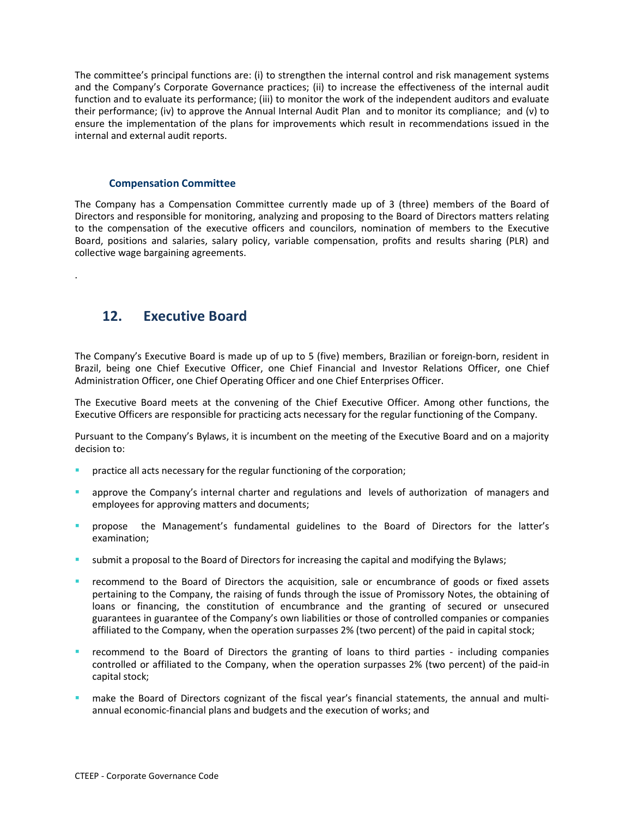The committee's principal functions are: (i) to strengthen the internal control and risk management systems and the Company's Corporate Governance practices; (ii) to increase the effectiveness of the internal audit function and to evaluate its performance; (iii) to monitor the work of the independent auditors and evaluate their performance; (iv) to approve the Annual Internal Audit Plan and to monitor its compliance; and (v) to ensure the implementation of the plans for improvements which result in recommendations issued in the internal and external audit reports.

### Compensation Committee

The Company has a Compensation Committee currently made up of 3 (three) members of the Board of Directors and responsible for monitoring, analyzing and proposing to the Board of Directors matters relating to the compensation of the executive officers and councilors, nomination of members to the Executive Board, positions and salaries, salary policy, variable compensation, profits and results sharing (PLR) and collective wage bargaining agreements.

# 12. Executive Board

.

The Company's Executive Board is made up of up to 5 (five) members, Brazilian or foreign-born, resident in Brazil, being one Chief Executive Officer, one Chief Financial and Investor Relations Officer, one Chief Administration Officer, one Chief Operating Officer and one Chief Enterprises Officer.

The Executive Board meets at the convening of the Chief Executive Officer. Among other functions, the Executive Officers are responsible for practicing acts necessary for the regular functioning of the Company.

Pursuant to the Company's Bylaws, it is incumbent on the meeting of the Executive Board and on a majority decision to:

- practice all acts necessary for the regular functioning of the corporation;
- approve the Company's internal charter and regulations and levels of authorization of managers and employees for approving matters and documents;
- propose the Management's fundamental guidelines to the Board of Directors for the latter's examination;
- submit a proposal to the Board of Directors for increasing the capital and modifying the Bylaws;
- recommend to the Board of Directors the acquisition, sale or encumbrance of goods or fixed assets pertaining to the Company, the raising of funds through the issue of Promissory Notes, the obtaining of loans or financing, the constitution of encumbrance and the granting of secured or unsecured guarantees in guarantee of the Company's own liabilities or those of controlled companies or companies affiliated to the Company, when the operation surpasses 2% (two percent) of the paid in capital stock;
- recommend to the Board of Directors the granting of loans to third parties - including companies controlled or affiliated to the Company, when the operation surpasses 2% (two percent) of the paid-in capital stock;
- make the Board of Directors cognizant of the fiscal year's financial statements, the annual and multiannual economic-financial plans and budgets and the execution of works; and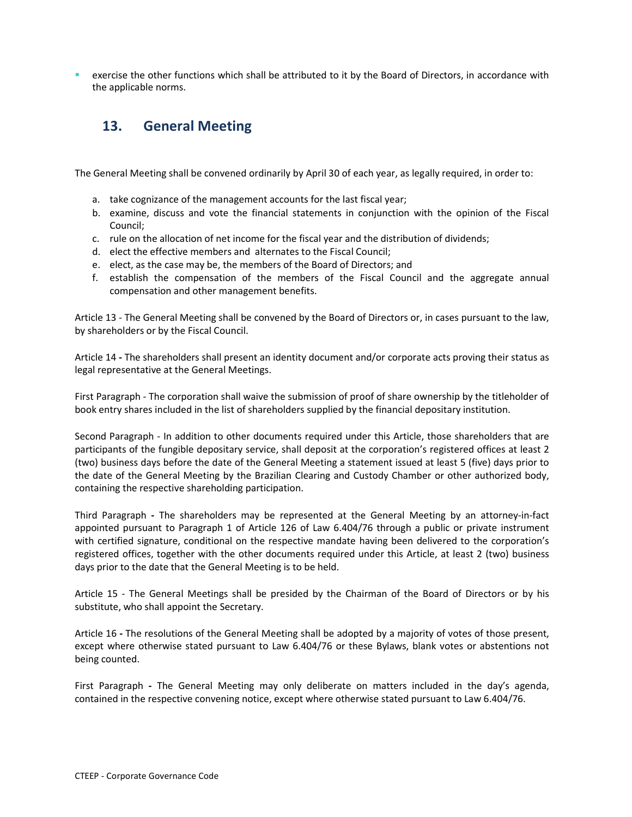exercise the other functions which shall be attributed to it by the Board of Directors, in accordance with the applicable norms.

# 13. General Meeting

The General Meeting shall be convened ordinarily by April 30 of each year, as legally required, in order to:

- a. take cognizance of the management accounts for the last fiscal year;
- b. examine, discuss and vote the financial statements in conjunction with the opinion of the Fiscal Council;
- c. rule on the allocation of net income for the fiscal year and the distribution of dividends;
- d. elect the effective members and alternates to the Fiscal Council;
- e. elect, as the case may be, the members of the Board of Directors; and
- f. establish the compensation of the members of the Fiscal Council and the aggregate annual compensation and other management benefits.

Article 13 - The General Meeting shall be convened by the Board of Directors or, in cases pursuant to the law, by shareholders or by the Fiscal Council.

Article 14 - The shareholders shall present an identity document and/or corporate acts proving their status as legal representative at the General Meetings.

First Paragraph - The corporation shall waive the submission of proof of share ownership by the titleholder of book entry shares included in the list of shareholders supplied by the financial depositary institution.

Second Paragraph - In addition to other documents required under this Article, those shareholders that are participants of the fungible depositary service, shall deposit at the corporation's registered offices at least 2 (two) business days before the date of the General Meeting a statement issued at least 5 (five) days prior to the date of the General Meeting by the Brazilian Clearing and Custody Chamber or other authorized body, containing the respective shareholding participation.

Third Paragraph - The shareholders may be represented at the General Meeting by an attorney-in-fact appointed pursuant to Paragraph 1 of Article 126 of Law 6.404/76 through a public or private instrument with certified signature, conditional on the respective mandate having been delivered to the corporation's registered offices, together with the other documents required under this Article, at least 2 (two) business days prior to the date that the General Meeting is to be held.

Article 15 - The General Meetings shall be presided by the Chairman of the Board of Directors or by his substitute, who shall appoint the Secretary.

Article 16 - The resolutions of the General Meeting shall be adopted by a majority of votes of those present, except where otherwise stated pursuant to Law 6.404/76 or these Bylaws, blank votes or abstentions not being counted.

First Paragraph - The General Meeting may only deliberate on matters included in the day's agenda, contained in the respective convening notice, except where otherwise stated pursuant to Law 6.404/76.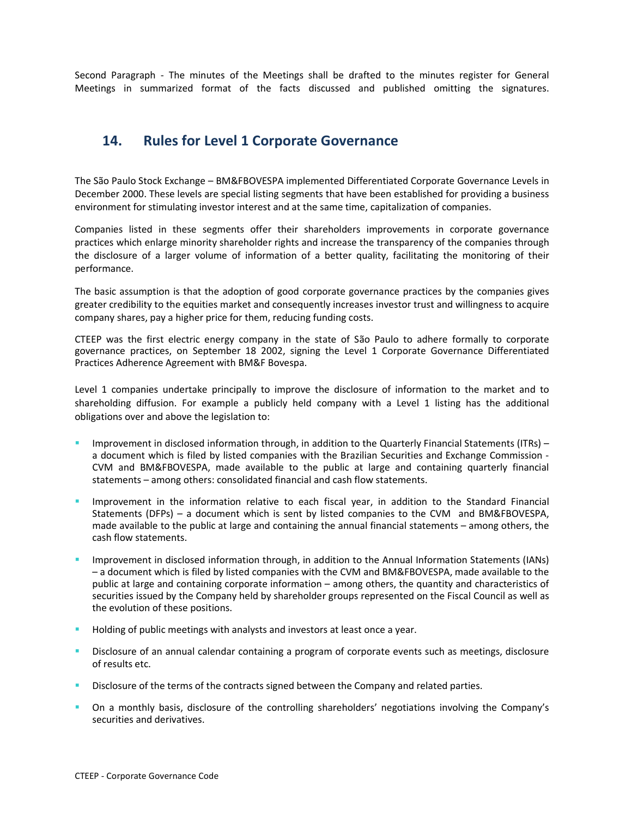Second Paragraph - The minutes of the Meetings shall be drafted to the minutes register for General Meetings in summarized format of the facts discussed and published omitting the signatures.

# 14. Rules for Level 1 Corporate Governance

The São Paulo Stock Exchange – BM&FBOVESPA implemented Differentiated Corporate Governance Levels in December 2000. These levels are special listing segments that have been established for providing a business environment for stimulating investor interest and at the same time, capitalization of companies.

Companies listed in these segments offer their shareholders improvements in corporate governance practices which enlarge minority shareholder rights and increase the transparency of the companies through the disclosure of a larger volume of information of a better quality, facilitating the monitoring of their performance.

The basic assumption is that the adoption of good corporate governance practices by the companies gives greater credibility to the equities market and consequently increases investor trust and willingness to acquire company shares, pay a higher price for them, reducing funding costs.

CTEEP was the first electric energy company in the state of São Paulo to adhere formally to corporate governance practices, on September 18 2002, signing the Level 1 Corporate Governance Differentiated Practices Adherence Agreement with BM&F Bovespa.

Level 1 companies undertake principally to improve the disclosure of information to the market and to shareholding diffusion. For example a publicly held company with a Level 1 listing has the additional obligations over and above the legislation to:

- - Improvement in disclosed information through, in addition to the Quarterly Financial Statements (ITRs) – a document which is filed by listed companies with the Brazilian Securities and Exchange Commission - CVM and BM&FBOVESPA, made available to the public at large and containing quarterly financial statements – among others: consolidated financial and cash flow statements.
- - Improvement in the information relative to each fiscal year, in addition to the Standard Financial Statements (DFPs) – a document which is sent by listed companies to the CVM and BM&FBOVESPA, made available to the public at large and containing the annual financial statements – among others, the cash flow statements.
- - Improvement in disclosed information through, in addition to the Annual Information Statements (IANs) – a document which is filed by listed companies with the CVM and BM&FBOVESPA, made available to the public at large and containing corporate information – among others, the quantity and characteristics of securities issued by the Company held by shareholder groups represented on the Fiscal Council as well as the evolution of these positions.
- -Holding of public meetings with analysts and investors at least once a year.
- - Disclosure of an annual calendar containing a program of corporate events such as meetings, disclosure of results etc.
- -Disclosure of the terms of the contracts signed between the Company and related parties.
- - On a monthly basis, disclosure of the controlling shareholders' negotiations involving the Company's securities and derivatives.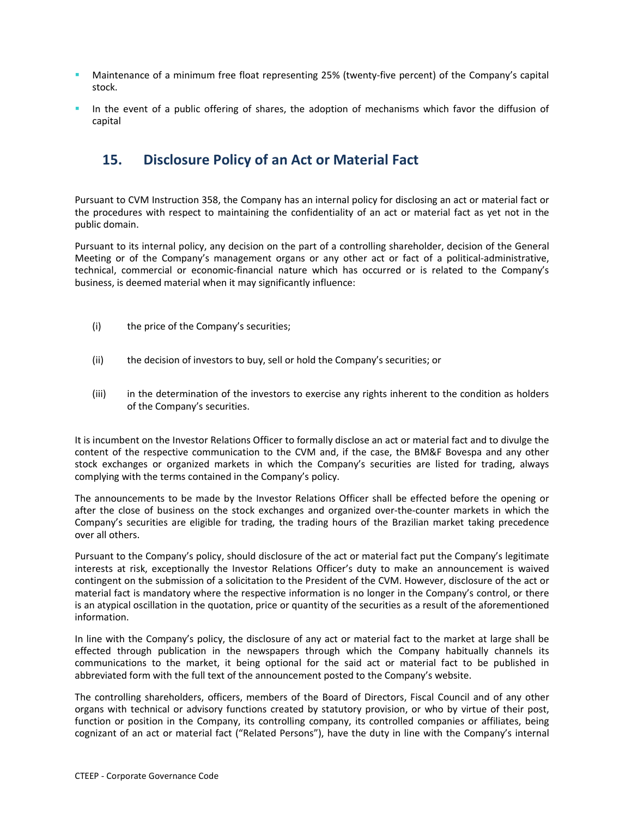- - Maintenance of a minimum free float representing 25% (twenty-five percent) of the Company's capital stock.
- - In the event of a public offering of shares, the adoption of mechanisms which favor the diffusion of capital

# 15. Disclosure Policy of an Act or Material Fact

Pursuant to CVM Instruction 358, the Company has an internal policy for disclosing an act or material fact or the procedures with respect to maintaining the confidentiality of an act or material fact as yet not in the public domain.

Pursuant to its internal policy, any decision on the part of a controlling shareholder, decision of the General Meeting or of the Company's management organs or any other act or fact of a political-administrative, technical, commercial or economic-financial nature which has occurred or is related to the Company's business, is deemed material when it may significantly influence:

- (i) the price of the Company's securities;
- (ii) the decision of investors to buy, sell or hold the Company's securities; or
- (iii) in the determination of the investors to exercise any rights inherent to the condition as holders of the Company's securities.

It is incumbent on the Investor Relations Officer to formally disclose an act or material fact and to divulge the content of the respective communication to the CVM and, if the case, the BM&F Bovespa and any other stock exchanges or organized markets in which the Company's securities are listed for trading, always complying with the terms contained in the Company's policy.

The announcements to be made by the Investor Relations Officer shall be effected before the opening or after the close of business on the stock exchanges and organized over-the-counter markets in which the Company's securities are eligible for trading, the trading hours of the Brazilian market taking precedence over all others.

Pursuant to the Company's policy, should disclosure of the act or material fact put the Company's legitimate interests at risk, exceptionally the Investor Relations Officer's duty to make an announcement is waived contingent on the submission of a solicitation to the President of the CVM. However, disclosure of the act or material fact is mandatory where the respective information is no longer in the Company's control, or there is an atypical oscillation in the quotation, price or quantity of the securities as a result of the aforementioned information.

In line with the Company's policy, the disclosure of any act or material fact to the market at large shall be effected through publication in the newspapers through which the Company habitually channels its communications to the market, it being optional for the said act or material fact to be published in abbreviated form with the full text of the announcement posted to the Company's website.

The controlling shareholders, officers, members of the Board of Directors, Fiscal Council and of any other organs with technical or advisory functions created by statutory provision, or who by virtue of their post, function or position in the Company, its controlling company, its controlled companies or affiliates, being cognizant of an act or material fact ("Related Persons"), have the duty in line with the Company's internal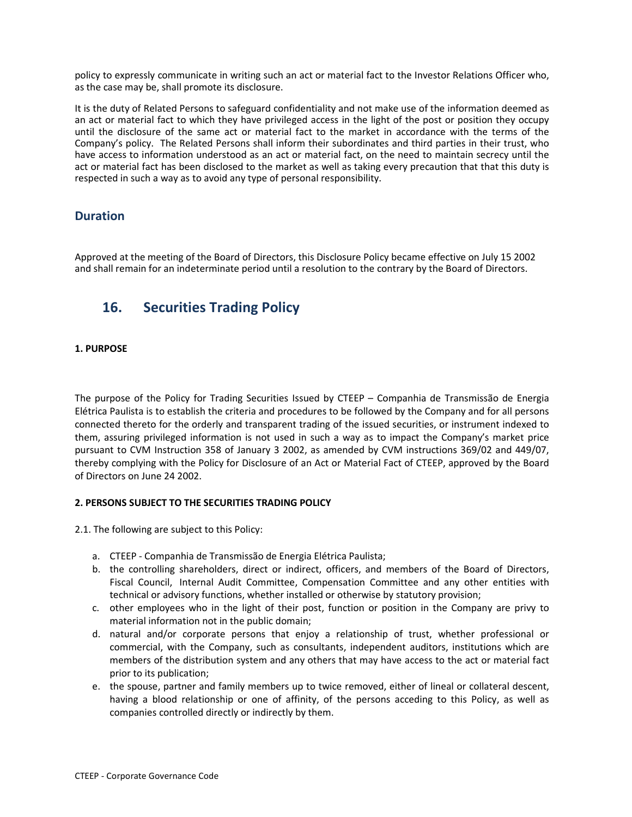policy to expressly communicate in writing such an act or material fact to the Investor Relations Officer who, as the case may be, shall promote its disclosure.

It is the duty of Related Persons to safeguard confidentiality and not make use of the information deemed as an act or material fact to which they have privileged access in the light of the post or position they occupy until the disclosure of the same act or material fact to the market in accordance with the terms of the Company's policy. The Related Persons shall inform their subordinates and third parties in their trust, who have access to information understood as an act or material fact, on the need to maintain secrecy until the act or material fact has been disclosed to the market as well as taking every precaution that that this duty is respected in such a way as to avoid any type of personal responsibility.

# **Duration**

Approved at the meeting of the Board of Directors, this Disclosure Policy became effective on July 15 2002 and shall remain for an indeterminate period until a resolution to the contrary by the Board of Directors.

# 16. Securities Trading Policy

# 1. PURPOSE

The purpose of the Policy for Trading Securities Issued by CTEEP – Companhia de Transmissão de Energia Elétrica Paulista is to establish the criteria and procedures to be followed by the Company and for all persons connected thereto for the orderly and transparent trading of the issued securities, or instrument indexed to them, assuring privileged information is not used in such a way as to impact the Company's market price pursuant to CVM Instruction 358 of January 3 2002, as amended by CVM instructions 369/02 and 449/07, thereby complying with the Policy for Disclosure of an Act or Material Fact of CTEEP, approved by the Board of Directors on June 24 2002.

# 2. PERSONS SUBJECT TO THE SECURITIES TRADING POLICY

2.1. The following are subject to this Policy:

- a. CTEEP Companhia de Transmissão de Energia Elétrica Paulista;
- b. the controlling shareholders, direct or indirect, officers, and members of the Board of Directors, Fiscal Council, Internal Audit Committee, Compensation Committee and any other entities with technical or advisory functions, whether installed or otherwise by statutory provision;
- c. other employees who in the light of their post, function or position in the Company are privy to material information not in the public domain;
- d. natural and/or corporate persons that enjoy a relationship of trust, whether professional or commercial, with the Company, such as consultants, independent auditors, institutions which are members of the distribution system and any others that may have access to the act or material fact prior to its publication;
- e. the spouse, partner and family members up to twice removed, either of lineal or collateral descent, having a blood relationship or one of affinity, of the persons acceding to this Policy, as well as companies controlled directly or indirectly by them.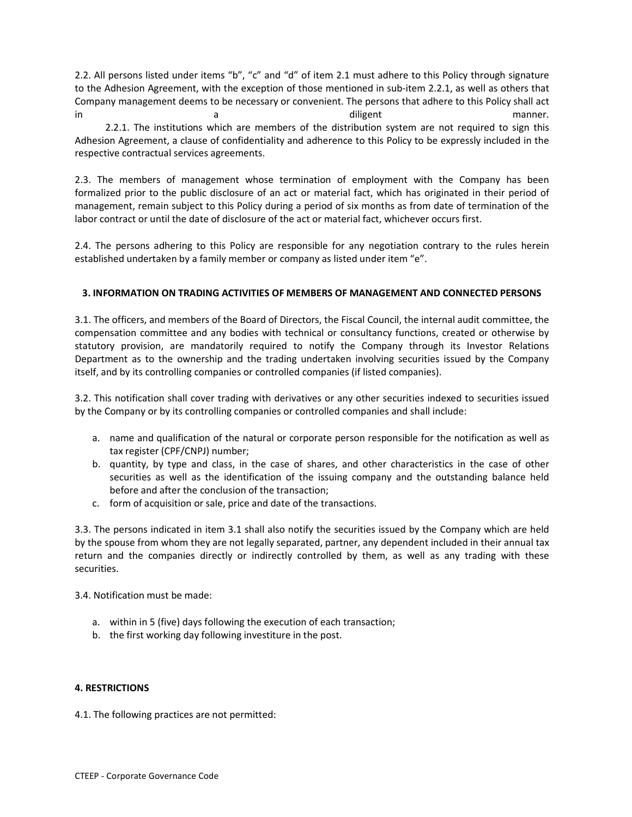2.2. All persons listed under items "b", "c" and "d" of item 2.1 must adhere to this Policy through signature to the Adhesion Agreement, with the exception of those mentioned in sub-item 2.2.1, as well as others that Company management deems to be necessary or convenient. The persons that adhere to this Policy shall act in a diligent manner. 2.2.1. The institutions which are members of the distribution system are not required to sign this

Adhesion Agreement, a clause of confidentiality and adherence to this Policy to be expressly included in the respective contractual services agreements.

2.3. The members of management whose termination of employment with the Company has been formalized prior to the public disclosure of an act or material fact, which has originated in their period of management, remain subject to this Policy during a period of six months as from date of termination of the labor contract or until the date of disclosure of the act or material fact, whichever occurs first.

2.4. The persons adhering to this Policy are responsible for any negotiation contrary to the rules herein established undertaken by a family member or company as listed under item "e".

# 3. INFORMATION ON TRADING ACTIVITIES OF MEMBERS OF MANAGEMENT AND CONNECTED PERSONS

3.1. The officers, and members of the Board of Directors, the Fiscal Council, the internal audit committee, the compensation committee and any bodies with technical or consultancy functions, created or otherwise by statutory provision, are mandatorily required to notify the Company through its Investor Relations Department as to the ownership and the trading undertaken involving securities issued by the Company itself, and by its controlling companies or controlled companies (if listed companies).

3.2. This notification shall cover trading with derivatives or any other securities indexed to securities issued by the Company or by its controlling companies or controlled companies and shall include:

- a. name and qualification of the natural or corporate person responsible for the notification as well as tax register (CPF/CNPJ) number;
- b. quantity, by type and class, in the case of shares, and other characteristics in the case of other securities as well as the identification of the issuing company and the outstanding balance held before and after the conclusion of the transaction;
- c. form of acquisition or sale, price and date of the transactions.

3.3. The persons indicated in item 3.1 shall also notify the securities issued by the Company which are held by the spouse from whom they are not legally separated, partner, any dependent included in their annual tax return and the companies directly or indirectly controlled by them, as well as any trading with these securities.

3.4. Notification must be made:

- a. within in 5 (five) days following the execution of each transaction;
- b. the first working day following investiture in the post.

# 4. RESTRICTIONS

4.1. The following practices are not permitted: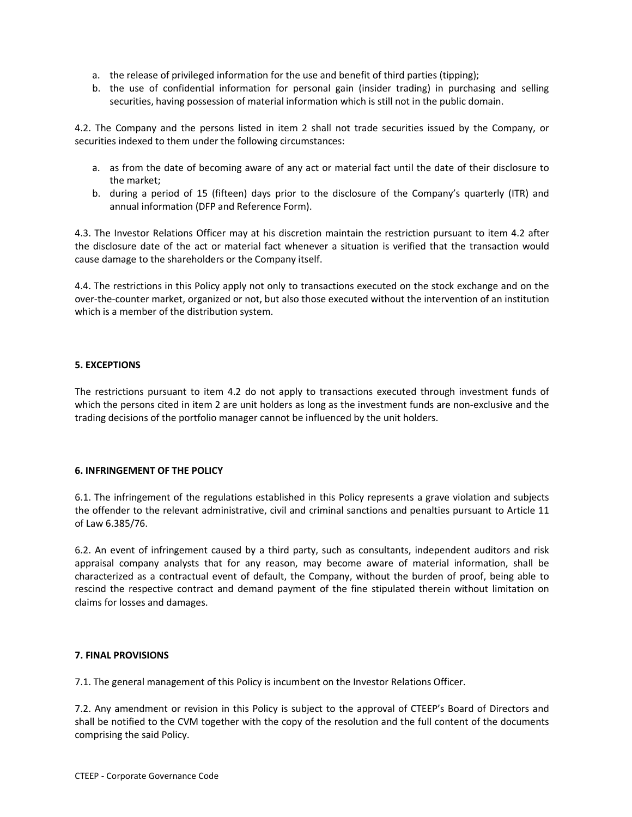- a. the release of privileged information for the use and benefit of third parties (tipping);
- b. the use of confidential information for personal gain (insider trading) in purchasing and selling securities, having possession of material information which is still not in the public domain.

4.2. The Company and the persons listed in item 2 shall not trade securities issued by the Company, or securities indexed to them under the following circumstances:

- a. as from the date of becoming aware of any act or material fact until the date of their disclosure to the market;
- b. during a period of 15 (fifteen) days prior to the disclosure of the Company's quarterly (ITR) and annual information (DFP and Reference Form).

4.3. The Investor Relations Officer may at his discretion maintain the restriction pursuant to item 4.2 after the disclosure date of the act or material fact whenever a situation is verified that the transaction would cause damage to the shareholders or the Company itself.

4.4. The restrictions in this Policy apply not only to transactions executed on the stock exchange and on the over-the-counter market, organized or not, but also those executed without the intervention of an institution which is a member of the distribution system.

# 5. EXCEPTIONS

The restrictions pursuant to item 4.2 do not apply to transactions executed through investment funds of which the persons cited in item 2 are unit holders as long as the investment funds are non-exclusive and the trading decisions of the portfolio manager cannot be influenced by the unit holders.

# 6. INFRINGEMENT OF THE POLICY

6.1. The infringement of the regulations established in this Policy represents a grave violation and subjects the offender to the relevant administrative, civil and criminal sanctions and penalties pursuant to Article 11 of Law 6.385/76.

6.2. An event of infringement caused by a third party, such as consultants, independent auditors and risk appraisal company analysts that for any reason, may become aware of material information, shall be characterized as a contractual event of default, the Company, without the burden of proof, being able to rescind the respective contract and demand payment of the fine stipulated therein without limitation on claims for losses and damages.

# 7. FINAL PROVISIONS

7.1. The general management of this Policy is incumbent on the Investor Relations Officer.

7.2. Any amendment or revision in this Policy is subject to the approval of CTEEP's Board of Directors and shall be notified to the CVM together with the copy of the resolution and the full content of the documents comprising the said Policy.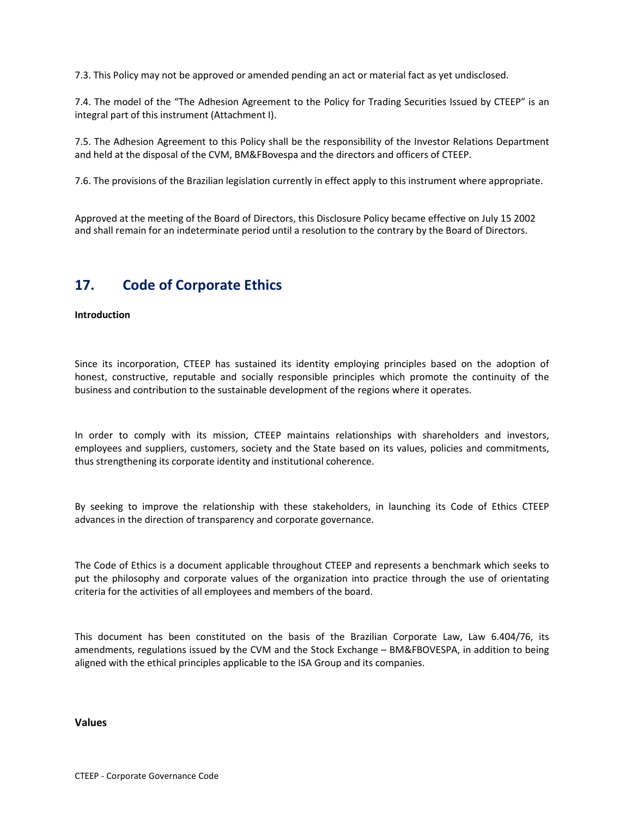7.3. This Policy may not be approved or amended pending an act or material fact as yet undisclosed.

7.4. The model of the "The Adhesion Agreement to the Policy for Trading Securities Issued by CTEEP" is an integral part of this instrument (Attachment I).

7.5. The Adhesion Agreement to this Policy shall be the responsibility of the Investor Relations Department and held at the disposal of the CVM, BM&FBovespa and the directors and officers of CTEEP.

7.6. The provisions of the Brazilian legislation currently in effect apply to this instrument where appropriate.

Approved at the meeting of the Board of Directors, this Disclosure Policy became effective on July 15 2002 and shall remain for an indeterminate period until a resolution to the contrary by the Board of Directors.

# 17. Code of Corporate Ethics

### Introduction

Since its incorporation, CTEEP has sustained its identity employing principles based on the adoption of honest, constructive, reputable and socially responsible principles which promote the continuity of the business and contribution to the sustainable development of the regions where it operates.

In order to comply with its mission, CTEEP maintains relationships with shareholders and investors, employees and suppliers, customers, society and the State based on its values, policies and commitments, thus strengthening its corporate identity and institutional coherence.

By seeking to improve the relationship with these stakeholders, in launching its Code of Ethics CTEEP advances in the direction of transparency and corporate governance.

The Code of Ethics is a document applicable throughout CTEEP and represents a benchmark which seeks to put the philosophy and corporate values of the organization into practice through the use of orientating criteria for the activities of all employees and members of the board.

This document has been constituted on the basis of the Brazilian Corporate Law, Law 6.404/76, its amendments, regulations issued by the CVM and the Stock Exchange – BM&FBOVESPA, in addition to being aligned with the ethical principles applicable to the ISA Group and its companies.

Values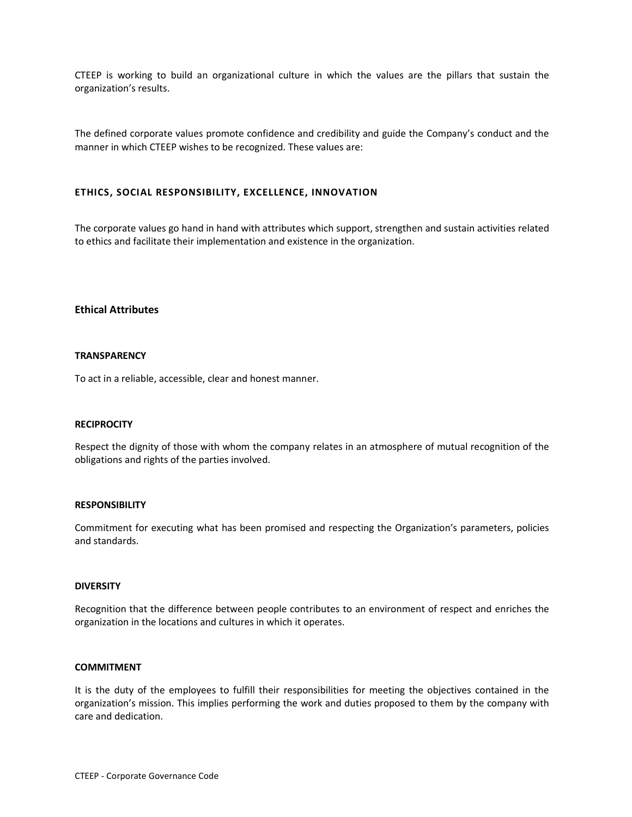CTEEP is working to build an organizational culture in which the values are the pillars that sustain the organization's results.

The defined corporate values promote confidence and credibility and guide the Company's conduct and the manner in which CTEEP wishes to be recognized. These values are:

### ETHICS, SOCIAL RESPONSIBILITY, EXCELLENCE, INNOVATION

The corporate values go hand in hand with attributes which support, strengthen and sustain activities related to ethics and facilitate their implementation and existence in the organization.

# Ethical Attributes

#### **TRANSPARENCY**

To act in a reliable, accessible, clear and honest manner.

#### **RECIPROCITY**

Respect the dignity of those with whom the company relates in an atmosphere of mutual recognition of the obligations and rights of the parties involved.

#### **RESPONSIBILITY**

Commitment for executing what has been promised and respecting the Organization's parameters, policies and standards.

#### **DIVERSITY**

Recognition that the difference between people contributes to an environment of respect and enriches the organization in the locations and cultures in which it operates.

#### COMMITMENT

It is the duty of the employees to fulfill their responsibilities for meeting the objectives contained in the organization's mission. This implies performing the work and duties proposed to them by the company with care and dedication.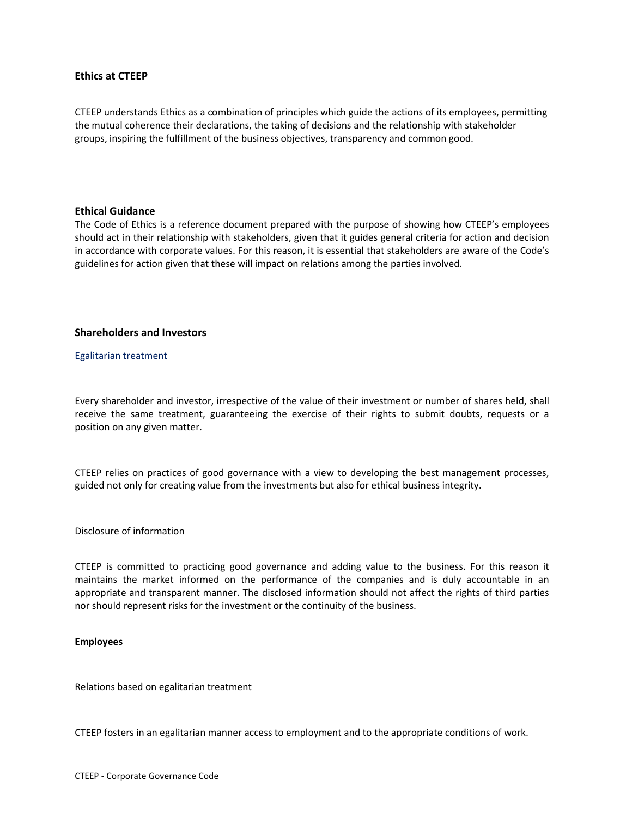# Ethics at CTEEP

CTEEP understands Ethics as a combination of principles which guide the actions of its employees, permitting the mutual coherence their declarations, the taking of decisions and the relationship with stakeholder groups, inspiring the fulfillment of the business objectives, transparency and common good.

### Ethical Guidance

The Code of Ethics is a reference document prepared with the purpose of showing how CTEEP's employees should act in their relationship with stakeholders, given that it guides general criteria for action and decision in accordance with corporate values. For this reason, it is essential that stakeholders are aware of the Code's guidelines for action given that these will impact on relations among the parties involved.

### Shareholders and Investors

Egalitarian treatment

Every shareholder and investor, irrespective of the value of their investment or number of shares held, shall receive the same treatment, guaranteeing the exercise of their rights to submit doubts, requests or a position on any given matter.

CTEEP relies on practices of good governance with a view to developing the best management processes, guided not only for creating value from the investments but also for ethical business integrity.

#### Disclosure of information

CTEEP is committed to practicing good governance and adding value to the business. For this reason it maintains the market informed on the performance of the companies and is duly accountable in an appropriate and transparent manner. The disclosed information should not affect the rights of third parties nor should represent risks for the investment or the continuity of the business.

#### Employees

Relations based on egalitarian treatment

CTEEP fosters in an egalitarian manner access to employment and to the appropriate conditions of work.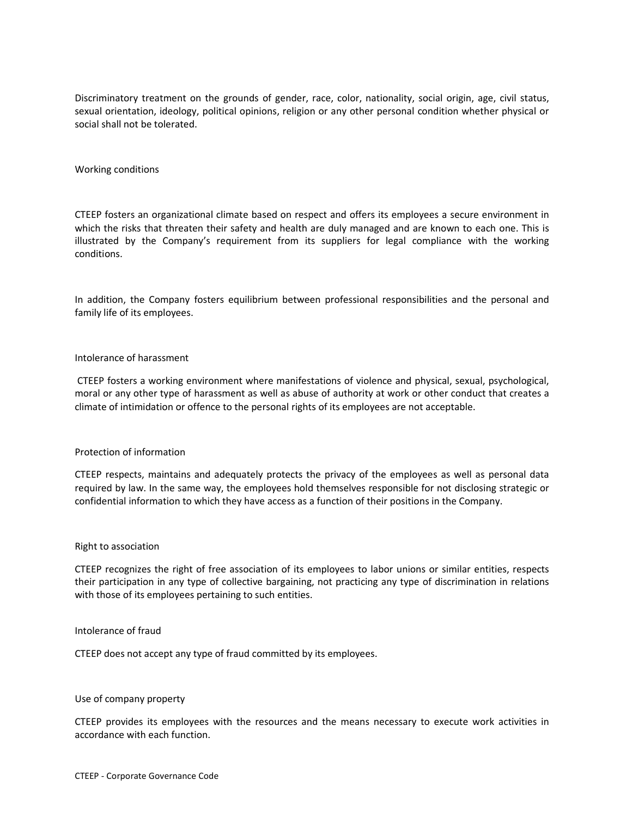Discriminatory treatment on the grounds of gender, race, color, nationality, social origin, age, civil status, sexual orientation, ideology, political opinions, religion or any other personal condition whether physical or social shall not be tolerated.

#### Working conditions

CTEEP fosters an organizational climate based on respect and offers its employees a secure environment in which the risks that threaten their safety and health are duly managed and are known to each one. This is illustrated by the Company's requirement from its suppliers for legal compliance with the working conditions.

In addition, the Company fosters equilibrium between professional responsibilities and the personal and family life of its employees.

#### Intolerance of harassment

 CTEEP fosters a working environment where manifestations of violence and physical, sexual, psychological, moral or any other type of harassment as well as abuse of authority at work or other conduct that creates a climate of intimidation or offence to the personal rights of its employees are not acceptable.

#### Protection of information

CTEEP respects, maintains and adequately protects the privacy of the employees as well as personal data required by law. In the same way, the employees hold themselves responsible for not disclosing strategic or confidential information to which they have access as a function of their positions in the Company.

#### Right to association

CTEEP recognizes the right of free association of its employees to labor unions or similar entities, respects their participation in any type of collective bargaining, not practicing any type of discrimination in relations with those of its employees pertaining to such entities.

### Intolerance of fraud

CTEEP does not accept any type of fraud committed by its employees.

#### Use of company property

CTEEP provides its employees with the resources and the means necessary to execute work activities in accordance with each function.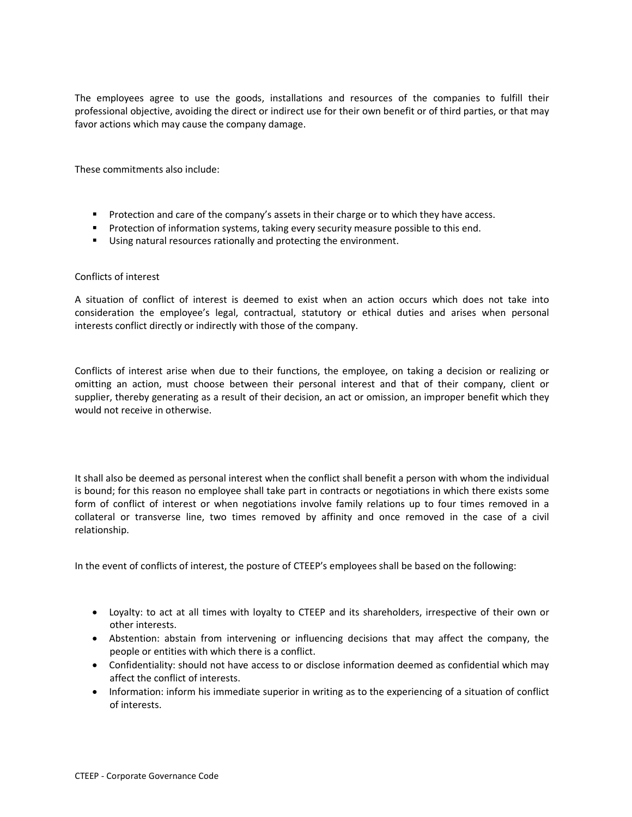The employees agree to use the goods, installations and resources of the companies to fulfill their professional objective, avoiding the direct or indirect use for their own benefit or of third parties, or that may favor actions which may cause the company damage.

These commitments also include:

- **•** Protection and care of the company's assets in their charge or to which they have access.
- **•** Protection of information systems, taking every security measure possible to this end.
- **Using natural resources rationally and protecting the environment.**

### Conflicts of interest

A situation of conflict of interest is deemed to exist when an action occurs which does not take into consideration the employee's legal, contractual, statutory or ethical duties and arises when personal interests conflict directly or indirectly with those of the company.

Conflicts of interest arise when due to their functions, the employee, on taking a decision or realizing or omitting an action, must choose between their personal interest and that of their company, client or supplier, thereby generating as a result of their decision, an act or omission, an improper benefit which they would not receive in otherwise.

It shall also be deemed as personal interest when the conflict shall benefit a person with whom the individual is bound; for this reason no employee shall take part in contracts or negotiations in which there exists some form of conflict of interest or when negotiations involve family relations up to four times removed in a collateral or transverse line, two times removed by affinity and once removed in the case of a civil relationship.

In the event of conflicts of interest, the posture of CTEEP's employees shall be based on the following:

- Loyalty: to act at all times with loyalty to CTEEP and its shareholders, irrespective of their own or other interests.
- Abstention: abstain from intervening or influencing decisions that may affect the company, the people or entities with which there is a conflict.
- Confidentiality: should not have access to or disclose information deemed as confidential which may affect the conflict of interests.
- Information: inform his immediate superior in writing as to the experiencing of a situation of conflict of interests.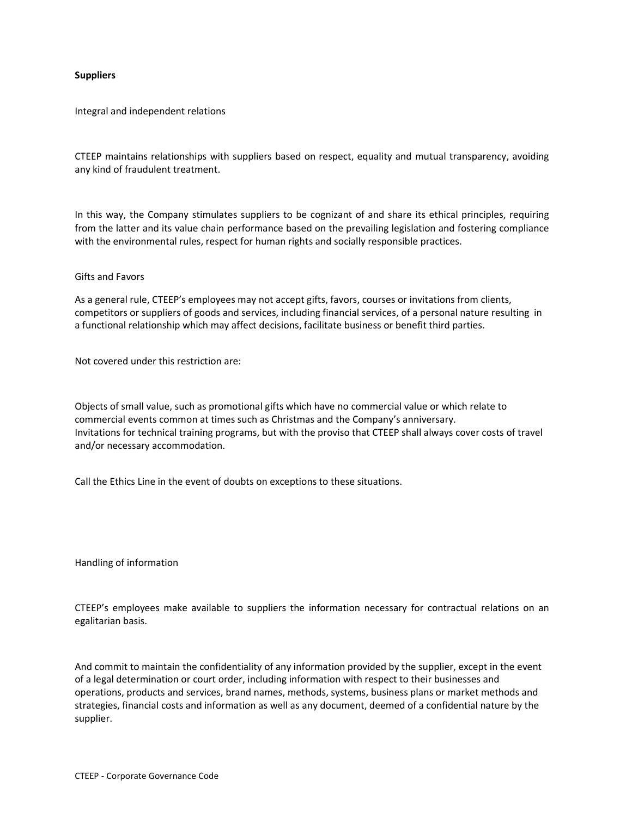### **Suppliers**

Integral and independent relations

CTEEP maintains relationships with suppliers based on respect, equality and mutual transparency, avoiding any kind of fraudulent treatment.

In this way, the Company stimulates suppliers to be cognizant of and share its ethical principles, requiring from the latter and its value chain performance based on the prevailing legislation and fostering compliance with the environmental rules, respect for human rights and socially responsible practices.

#### Gifts and Favors

As a general rule, CTEEP's employees may not accept gifts, favors, courses or invitations from clients, competitors or suppliers of goods and services, including financial services, of a personal nature resulting in a functional relationship which may affect decisions, facilitate business or benefit third parties.

Not covered under this restriction are:

Objects of small value, such as promotional gifts which have no commercial value or which relate to commercial events common at times such as Christmas and the Company's anniversary. Invitations for technical training programs, but with the proviso that CTEEP shall always cover costs of travel and/or necessary accommodation.

Call the Ethics Line in the event of doubts on exceptions to these situations.

Handling of information

CTEEP's employees make available to suppliers the information necessary for contractual relations on an egalitarian basis.

And commit to maintain the confidentiality of any information provided by the supplier, except in the event of a legal determination or court order, including information with respect to their businesses and operations, products and services, brand names, methods, systems, business plans or market methods and strategies, financial costs and information as well as any document, deemed of a confidential nature by the supplier.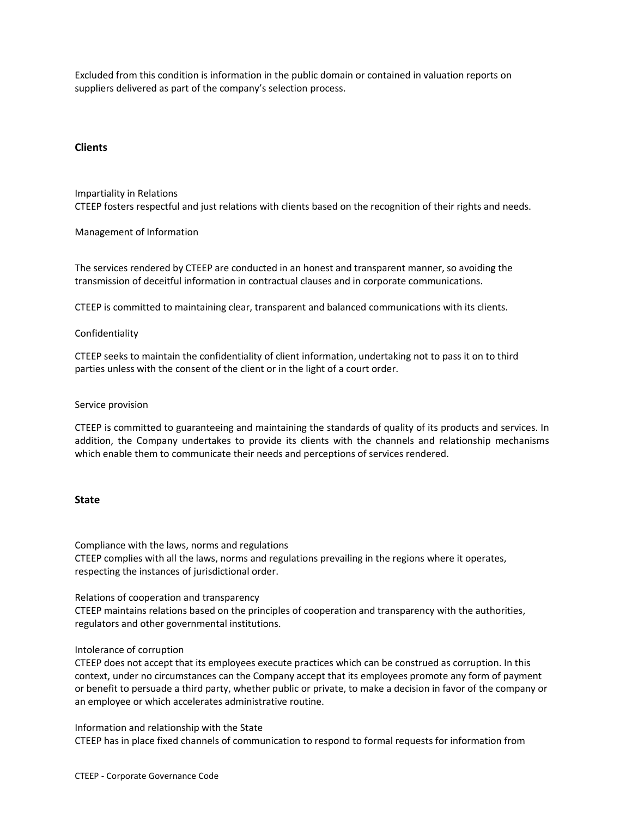Excluded from this condition is information in the public domain or contained in valuation reports on suppliers delivered as part of the company's selection process.

# **Clients**

Impartiality in Relations CTEEP fosters respectful and just relations with clients based on the recognition of their rights and needs.

Management of Information

The services rendered by CTEEP are conducted in an honest and transparent manner, so avoiding the transmission of deceitful information in contractual clauses and in corporate communications.

CTEEP is committed to maintaining clear, transparent and balanced communications with its clients.

#### Confidentiality

CTEEP seeks to maintain the confidentiality of client information, undertaking not to pass it on to third parties unless with the consent of the client or in the light of a court order.

#### Service provision

CTEEP is committed to guaranteeing and maintaining the standards of quality of its products and services. In addition, the Company undertakes to provide its clients with the channels and relationship mechanisms which enable them to communicate their needs and perceptions of services rendered.

### **State**

Compliance with the laws, norms and regulations CTEEP complies with all the laws, norms and regulations prevailing in the regions where it operates, respecting the instances of jurisdictional order.

Relations of cooperation and transparency

CTEEP maintains relations based on the principles of cooperation and transparency with the authorities, regulators and other governmental institutions.

#### Intolerance of corruption

CTEEP does not accept that its employees execute practices which can be construed as corruption. In this context, under no circumstances can the Company accept that its employees promote any form of payment or benefit to persuade a third party, whether public or private, to make a decision in favor of the company or an employee or which accelerates administrative routine.

Information and relationship with the State CTEEP has in place fixed channels of communication to respond to formal requests for information from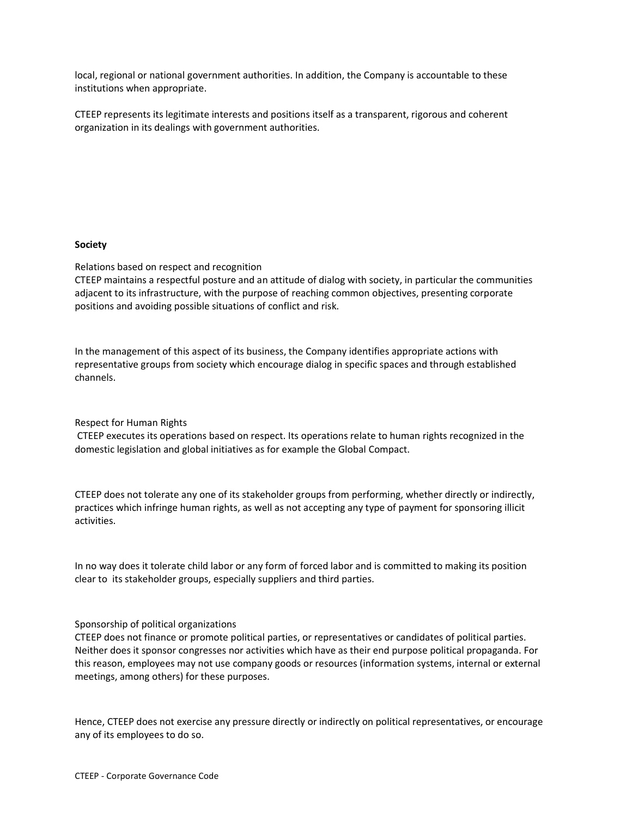local, regional or national government authorities. In addition, the Company is accountable to these institutions when appropriate.

CTEEP represents its legitimate interests and positions itself as a transparent, rigorous and coherent organization in its dealings with government authorities.

# Society

Relations based on respect and recognition

CTEEP maintains a respectful posture and an attitude of dialog with society, in particular the communities adjacent to its infrastructure, with the purpose of reaching common objectives, presenting corporate positions and avoiding possible situations of conflict and risk.

In the management of this aspect of its business, the Company identifies appropriate actions with representative groups from society which encourage dialog in specific spaces and through established channels.

Respect for Human Rights

 CTEEP executes its operations based on respect. Its operations relate to human rights recognized in the domestic legislation and global initiatives as for example the Global Compact.

CTEEP does not tolerate any one of its stakeholder groups from performing, whether directly or indirectly, practices which infringe human rights, as well as not accepting any type of payment for sponsoring illicit activities.

In no way does it tolerate child labor or any form of forced labor and is committed to making its position clear to its stakeholder groups, especially suppliers and third parties.

# Sponsorship of political organizations

CTEEP does not finance or promote political parties, or representatives or candidates of political parties. Neither does it sponsor congresses nor activities which have as their end purpose political propaganda. For this reason, employees may not use company goods or resources (information systems, internal or external meetings, among others) for these purposes.

Hence, CTEEP does not exercise any pressure directly or indirectly on political representatives, or encourage any of its employees to do so.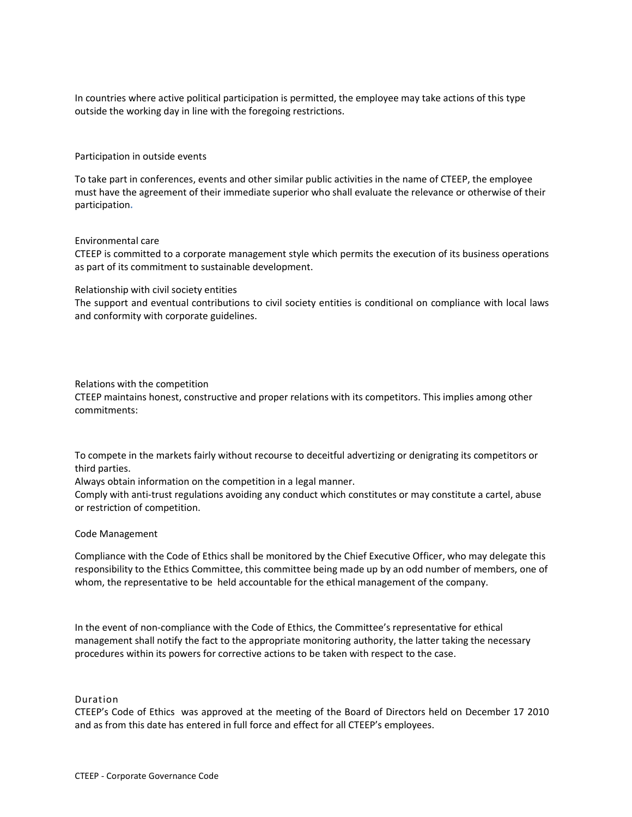In countries where active political participation is permitted, the employee may take actions of this type outside the working day in line with the foregoing restrictions.

Participation in outside events

To take part in conferences, events and other similar public activities in the name of CTEEP, the employee must have the agreement of their immediate superior who shall evaluate the relevance or otherwise of their participation.

#### Environmental care

CTEEP is committed to a corporate management style which permits the execution of its business operations as part of its commitment to sustainable development.

#### Relationship with civil society entities

The support and eventual contributions to civil society entities is conditional on compliance with local laws and conformity with corporate guidelines.

#### Relations with the competition

CTEEP maintains honest, constructive and proper relations with its competitors. This implies among other commitments:

To compete in the markets fairly without recourse to deceitful advertizing or denigrating its competitors or third parties.

Always obtain information on the competition in a legal manner.

Comply with anti-trust regulations avoiding any conduct which constitutes or may constitute a cartel, abuse or restriction of competition.

#### Code Management

Compliance with the Code of Ethics shall be monitored by the Chief Executive Officer, who may delegate this responsibility to the Ethics Committee, this committee being made up by an odd number of members, one of whom, the representative to be held accountable for the ethical management of the company.

In the event of non-compliance with the Code of Ethics, the Committee's representative for ethical management shall notify the fact to the appropriate monitoring authority, the latter taking the necessary procedures within its powers for corrective actions to be taken with respect to the case.

Duration

CTEEP's Code of Ethics was approved at the meeting of the Board of Directors held on December 17 2010 and as from this date has entered in full force and effect for all CTEEP's employees.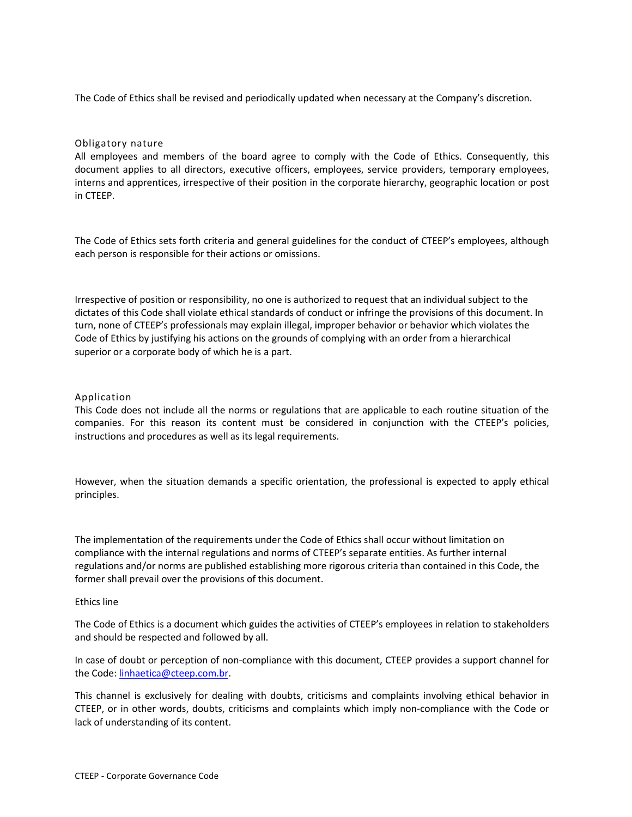The Code of Ethics shall be revised and periodically updated when necessary at the Company's discretion.

# Obligatory nature

All employees and members of the board agree to comply with the Code of Ethics. Consequently, this document applies to all directors, executive officers, employees, service providers, temporary employees, interns and apprentices, irrespective of their position in the corporate hierarchy, geographic location or post in CTEEP.

The Code of Ethics sets forth criteria and general guidelines for the conduct of CTEEP's employees, although each person is responsible for their actions or omissions.

Irrespective of position or responsibility, no one is authorized to request that an individual subject to the dictates of this Code shall violate ethical standards of conduct or infringe the provisions of this document. In turn, none of CTEEP's professionals may explain illegal, improper behavior or behavior which violates the Code of Ethics by justifying his actions on the grounds of complying with an order from a hierarchical superior or a corporate body of which he is a part.

### Application

This Code does not include all the norms or regulations that are applicable to each routine situation of the companies. For this reason its content must be considered in conjunction with the CTEEP's policies, instructions and procedures as well as its legal requirements.

However, when the situation demands a specific orientation, the professional is expected to apply ethical principles.

The implementation of the requirements under the Code of Ethics shall occur without limitation on compliance with the internal regulations and norms of CTEEP's separate entities. As further internal regulations and/or norms are published establishing more rigorous criteria than contained in this Code, the former shall prevail over the provisions of this document.

#### Ethics line

The Code of Ethics is a document which guides the activities of CTEEP's employees in relation to stakeholders and should be respected and followed by all.

In case of doubt or perception of non-compliance with this document, CTEEP provides a support channel for the Code: linhaetica@cteep.com.br.

This channel is exclusively for dealing with doubts, criticisms and complaints involving ethical behavior in CTEEP, or in other words, doubts, criticisms and complaints which imply non-compliance with the Code or lack of understanding of its content.